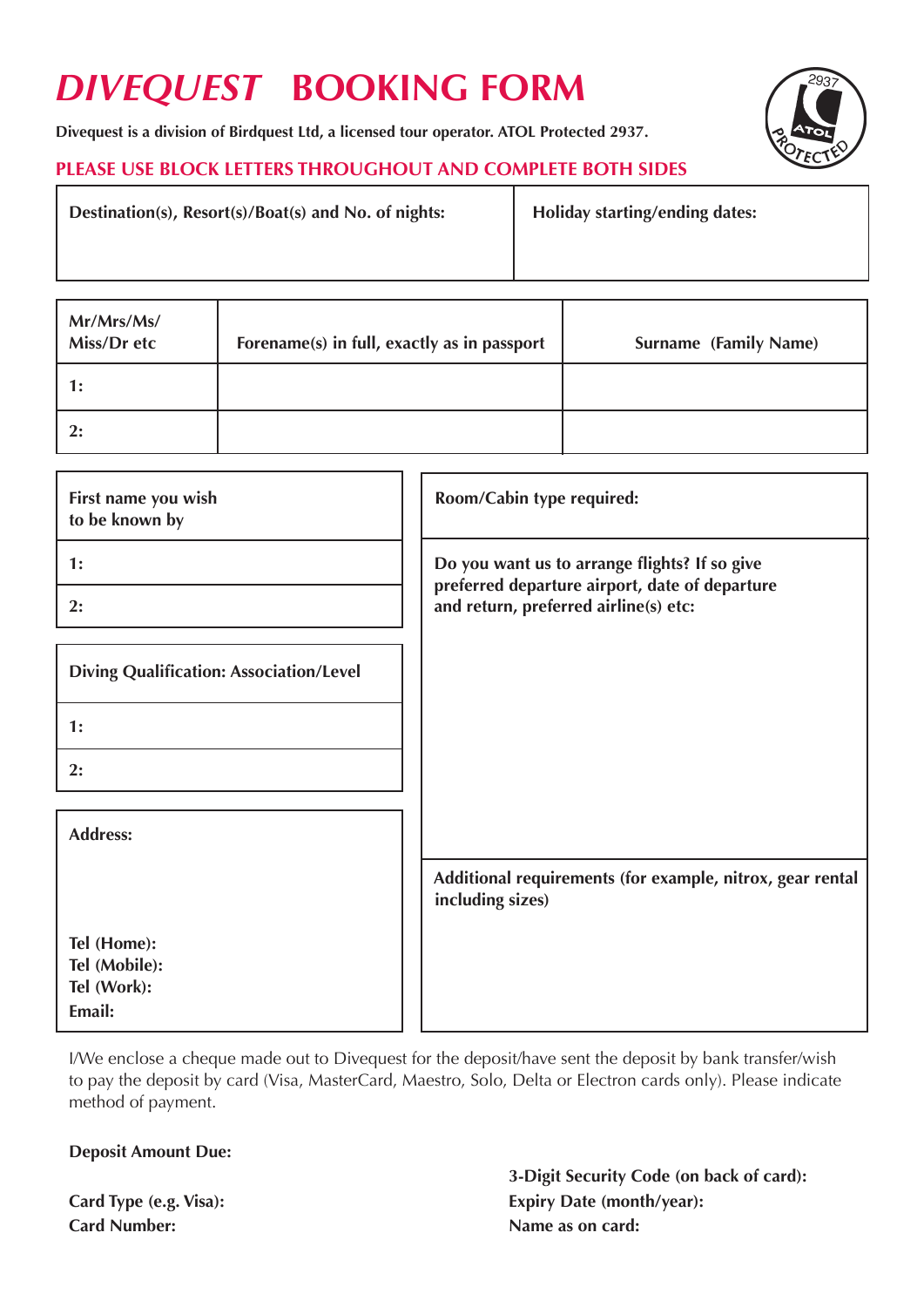# *DIVEQUEST* **BOOKING FORM**

**Divequest is a division of Birdquest Ltd, a licensed tour operator. ATOL Protected 2937.**

# **PLEASE USE BLOCK LETTERS THROUGHOUT AND COMPLETE BOTH SIDES**

Destination(s), Resort(s)/Boat(s) and No. of nights: **Holiday starting/ending dates:** 

| Mr/Mrs/Ms/<br>Miss/Dr etc | Forename(s) in full, exactly as in passport | <b>Surname (Family Name)</b> |
|---------------------------|---------------------------------------------|------------------------------|
| 1:                        |                                             |                              |
| 2:                        |                                             |                              |

| First name you wish<br>to be known by          | Room/Cabin type required:                                                               |
|------------------------------------------------|-----------------------------------------------------------------------------------------|
| 1:                                             | Do you want us to arrange flights? If so give                                           |
| 2:                                             | preferred departure airport, date of departure<br>and return, preferred airline(s) etc: |
| <b>Diving Qualification: Association/Level</b> |                                                                                         |
| 1:                                             |                                                                                         |
| 2:                                             |                                                                                         |
| <b>Address:</b>                                |                                                                                         |
|                                                | Additional requirements (for example, nitrox, gear rental<br>including sizes)           |
| Tel (Home):                                    |                                                                                         |
| Tel (Mobile):<br>Tel (Work):                   |                                                                                         |
| Email:                                         |                                                                                         |

I/We enclose a cheque made out to Divequest for the deposit/have sent the deposit by bank transfer/wish to pay the deposit by card (Visa, MasterCard, Maestro, Solo, Delta or Electron cards only). Please indicate method of payment.

## **Deposit Amount Due:**

**Card Number:** Name as on card:

 **3-Digit Security Code (on back of card): Card Type (e.g. Visa): Expiry Date (month/year):**